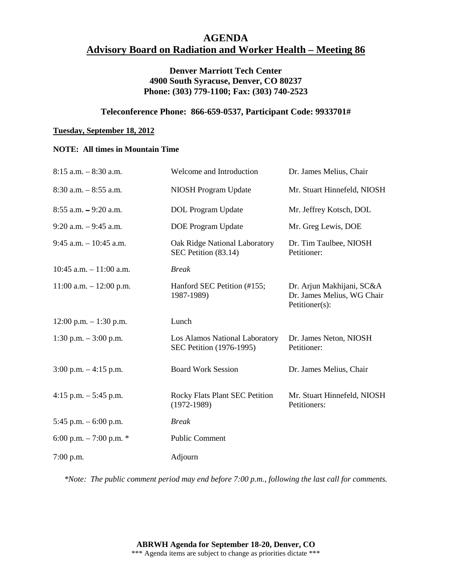# **AGENDA Advisory Board on Radiation and Worker Health – Meeting 86**

### **Denver Marriott Tech Center 4900 South Syracuse, Denver, CO 80237 Phone: (303) 779-1100; Fax: (303) 740-2523**

#### **Teleconference Phone: 866-659-0537, Participant Code: 9933701#**

#### **Tuesday, September 18, 2012**

#### **NOTE: All times in Mountain Time**

| $8:15$ a.m. $-8:30$ a.m.   | Welcome and Introduction                                   | Dr. James Melius, Chair                                                   |
|----------------------------|------------------------------------------------------------|---------------------------------------------------------------------------|
| $8:30$ a.m. $-8:55$ a.m.   | NIOSH Program Update                                       | Mr. Stuart Hinnefeld, NIOSH                                               |
| $8:55$ a.m. $-9:20$ a.m.   | <b>DOL</b> Program Update                                  | Mr. Jeffrey Kotsch, DOL                                                   |
| $9:20$ a.m. $-9:45$ a.m.   | <b>DOE</b> Program Update                                  | Mr. Greg Lewis, DOE                                                       |
| $9:45$ a.m. $-10:45$ a.m.  | Oak Ridge National Laboratory<br>SEC Petition (83.14)      | Dr. Tim Taulbee, NIOSH<br>Petitioner:                                     |
| $10:45$ a.m. $-11:00$ a.m. | <b>Break</b>                                               |                                                                           |
| $11:00$ a.m. $-12:00$ p.m. | Hanford SEC Petition (#155;<br>1987-1989)                  | Dr. Arjun Makhijani, SC&A<br>Dr. James Melius, WG Chair<br>Petitioner(s): |
| $12:00$ p.m. $-1:30$ p.m.  | Lunch                                                      |                                                                           |
| 1:30 p.m. $-3:00$ p.m.     | Los Alamos National Laboratory<br>SEC Petition (1976-1995) | Dr. James Neton, NIOSH<br>Petitioner:                                     |
| $3:00$ p.m. $-4:15$ p.m.   | <b>Board Work Session</b>                                  | Dr. James Melius, Chair                                                   |
| 4:15 p.m. $-$ 5:45 p.m.    | Rocky Flats Plant SEC Petition<br>$(1972 - 1989)$          | Mr. Stuart Hinnefeld, NIOSH<br>Petitioners:                               |
| 5:45 p.m. $-6:00$ p.m.     | <b>Break</b>                                               |                                                                           |
| 6:00 p.m. $-7:00$ p.m. $*$ | <b>Public Comment</b>                                      |                                                                           |
| $7:00$ p.m.                | Adjourn                                                    |                                                                           |

*\*Note: The public comment period may end before 7:00 p.m., following the last call for comments.*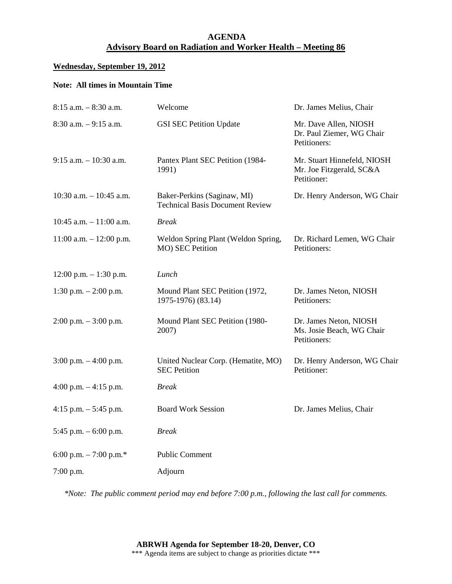## **AGENDA Advisory Board on Radiation and Worker Health – Meeting 86**

#### **Wednesday, September 19, 2012**

### **Note: All times in Mountain Time**

| $8:15$ a.m. $-8:30$ a.m.    | Welcome                                                               | Dr. James Melius, Chair                                                |
|-----------------------------|-----------------------------------------------------------------------|------------------------------------------------------------------------|
| $8:30$ a.m. $-9:15$ a.m.    | <b>GSI SEC Petition Update</b>                                        | Mr. Dave Allen, NIOSH<br>Dr. Paul Ziemer, WG Chair<br>Petitioners:     |
| $9:15$ a.m. $-10:30$ a.m.   | Pantex Plant SEC Petition (1984-<br>1991)                             | Mr. Stuart Hinnefeld, NIOSH<br>Mr. Joe Fitzgerald, SC&A<br>Petitioner: |
| $10:30$ a.m. $- 10:45$ a.m. | Baker-Perkins (Saginaw, MI)<br><b>Technical Basis Document Review</b> | Dr. Henry Anderson, WG Chair                                           |
| 10:45 a.m. $-11:00$ a.m.    | <b>Break</b>                                                          |                                                                        |
| $11:00$ a.m. $-12:00$ p.m.  | Weldon Spring Plant (Weldon Spring,<br>MO) SEC Petition               | Dr. Richard Lemen, WG Chair<br>Petitioners:                            |
| $12:00$ p.m. $-1:30$ p.m.   | Lunch                                                                 |                                                                        |
| 1:30 p.m. $- 2:00$ p.m.     | Mound Plant SEC Petition (1972,<br>1975-1976) (83.14)                 | Dr. James Neton, NIOSH<br>Petitioners:                                 |
| $2:00$ p.m. $-3:00$ p.m.    | Mound Plant SEC Petition (1980-<br>2007)                              | Dr. James Neton, NIOSH<br>Ms. Josie Beach, WG Chair<br>Petitioners:    |
| $3:00$ p.m. $-4:00$ p.m.    | United Nuclear Corp. (Hematite, MO)<br><b>SEC Petition</b>            | Dr. Henry Anderson, WG Chair<br>Petitioner:                            |
| 4:00 p.m. $-4:15$ p.m.      | <b>Break</b>                                                          |                                                                        |
| 4:15 p.m. $-5:45$ p.m.      | <b>Board Work Session</b>                                             | Dr. James Melius, Chair                                                |
| 5:45 p.m. $-6:00$ p.m.      | Break                                                                 |                                                                        |
| 6:00 p.m. $-7:00$ p.m.*     | <b>Public Comment</b>                                                 |                                                                        |
| $7:00$ p.m.                 | Adjourn                                                               |                                                                        |

*\*Note: The public comment period may end before 7:00 p.m., following the last call for comments.*